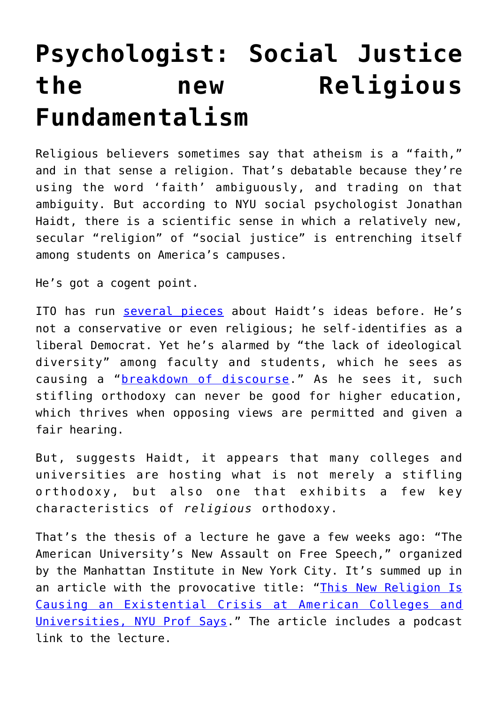## **[Psychologist: Social Justice](https://intellectualtakeout.org/2016/06/psychologist-social-justice-the-new-religious-fundamentalism/) [the new Religious](https://intellectualtakeout.org/2016/06/psychologist-social-justice-the-new-religious-fundamentalism/) [Fundamentalism](https://intellectualtakeout.org/2016/06/psychologist-social-justice-the-new-religious-fundamentalism/)**

Religious believers sometimes say that atheism is a "faith," and in that sense a religion. That's debatable because they're using the word 'faith' ambiguously, and trading on that ambiguity. But according to NYU social psychologist Jonathan Haidt, there is a scientific sense in which a relatively new, secular "religion" of "social justice" is entrenching itself among students on America's campuses.

He's got a cogent point.

ITO has run [several pieces](https://www.intellectualtakeout.org/search/node/Haidt) about Haidt's ideas before. He's not a conservative or even religious; he self-identifies as a liberal Democrat. Yet he's alarmed by "the lack of ideological diversity" among faculty and students, which he sees as causing a "[breakdown of discourse](https://www.intellectualtakeout.org/blog/psychologist-breakdown-discourse-im-liberal-professor-and-my-liberal-students-scare-me)." As he sees it, such stifling orthodoxy can never be good for higher education, which thrives when opposing views are permitted and given a fair hearing.

But, suggests Haidt, it appears that many colleges and universities are hosting what is not merely a stifling orthodoxy, but also one that exhibits a few key characteristics of *religious* orthodoxy.

That's the thesis of a lecture he gave a few weeks ago: "The American University's New Assault on Free Speech," organized by the Manhattan Institute in New York City. It's summed up in an article with the provocative title: "[This New Religion Is](http://m.christianpost.com/news/new-religion-causing-existential-crisis-american-colleges-nyu-prof-says-164502/) [Causing an Existential Crisis at American Colleges and](http://m.christianpost.com/news/new-religion-causing-existential-crisis-american-colleges-nyu-prof-says-164502/) [Universities, NYU Prof Says.](http://m.christianpost.com/news/new-religion-causing-existential-crisis-american-colleges-nyu-prof-says-164502/)" The article includes a podcast link to the lecture.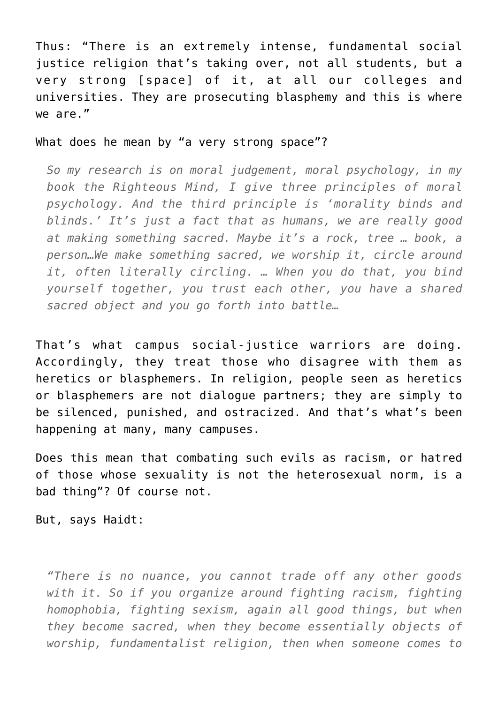Thus: "There is an extremely intense, fundamental social justice religion that's taking over, not all students, but a very strong [space] of it, at all our colleges and universities. They are prosecuting blasphemy and this is where we are."

## What does he mean by "a very strong space"?

*So my research is on moral judgement, moral psychology, in my book the Righteous Mind, I give three principles of moral psychology. And the third principle is 'morality binds and blinds.' It's just a fact that as humans, we are really good at making something sacred. Maybe it's a rock, tree … book, a person…We make something sacred, we worship it, circle around it, often literally circling. … When you do that, you bind yourself together, you trust each other, you have a shared sacred object and you go forth into battle…*

That's what campus social-justice warriors are doing. Accordingly, they treat those who disagree with them as heretics or blasphemers. In religion, people seen as heretics or blasphemers are not dialogue partners; they are simply to be silenced, punished, and ostracized. And that's what's been happening at many, many campuses.

Does this mean that combating such evils as racism, or hatred of those whose sexuality is not the heterosexual norm, is a bad thing"? Of course not.

But, says Haidt:

*"There is no nuance, you cannot trade off any other goods with it. So if you organize around fighting racism, fighting homophobia, fighting sexism, again all good things, but when they become sacred, when they become essentially objects of worship, fundamentalist religion, then when someone comes to*